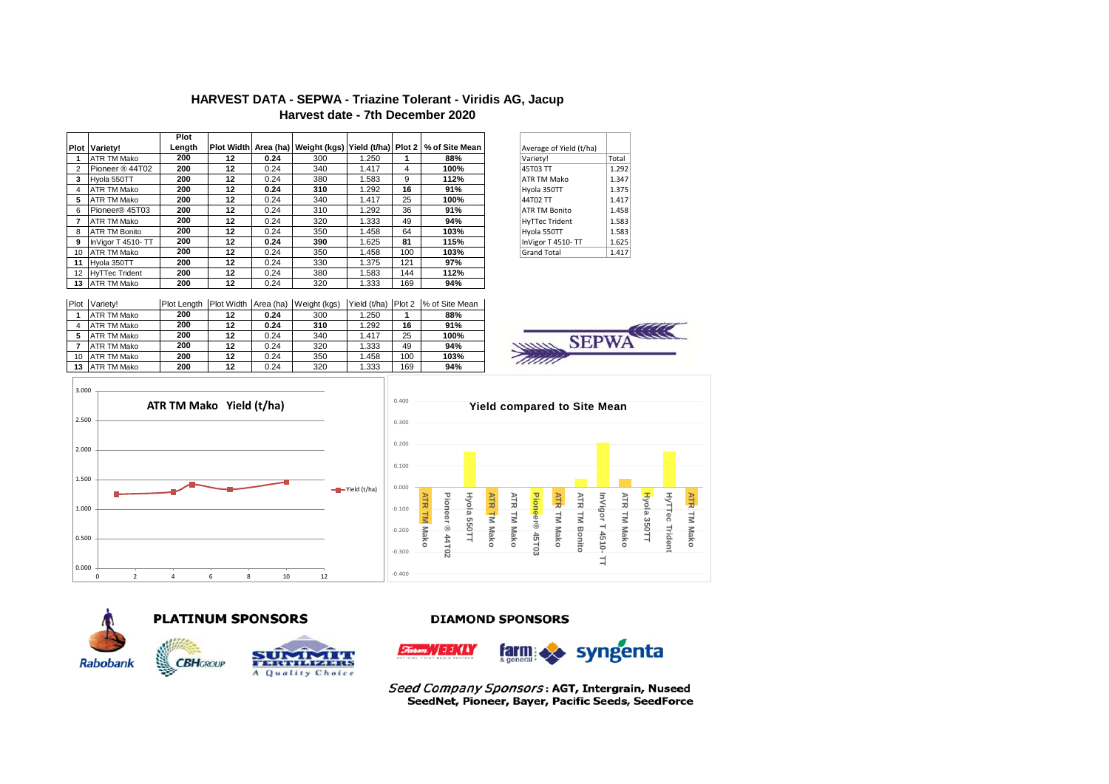# **HARVEST DATA - SEPWA - Triazine Tolerant - Viridis AG, Jacup Harvest date - 7th December 2020**

|             |                       | Plot   |    |      |     |       |     |                                                                        |                         |       |
|-------------|-----------------------|--------|----|------|-----|-------|-----|------------------------------------------------------------------------|-------------------------|-------|
| <b>Plot</b> | Variety!              | Length |    |      |     |       |     | Plot Width Area (ha) Weight (kgs) Yield (t/ha) Plot 2   % of Site Mean | Average of Yield (t/ha) |       |
|             | ATR TM Mako           | 200    | 12 | 0.24 | 300 | 1.250 |     | 88%                                                                    | Variety!                | Total |
|             | Pioneer ® 44T02       | 200    | 12 | 0.24 | 340 | 1.417 | 4   | 100%                                                                   | 45T03 TT                | 1.292 |
| 3           | Hvola 550TT           | 200    | 12 | 0.24 | 380 | 1.583 | 9   | 112%                                                                   | <b>ATR TM Mako</b>      | 1.347 |
|             | ATR TM Mako           | 200    | 12 | 0.24 | 310 | 1.292 | 16  | 91%                                                                    | Hvola 350TT             | 1.375 |
| 5           | ATR TM Mako           | 200    | 12 | 0.24 | 340 | 1.417 | 25  | 100%                                                                   | 44T02 TT                | 1.417 |
| 6           | Pioneer® 45T03        | 200    | 12 | 0.24 | 310 | 1.292 | 36  | 91%                                                                    | <b>ATR TM Bonito</b>    | 1.458 |
|             | ATR TM Mako           | 200    | 12 | 0.24 | 320 | 1.333 | 49  | 94%                                                                    | <b>HyTTec Trident</b>   | 1.583 |
| 8           | <b>ATR TM Bonito</b>  | 200    | 12 | 0.24 | 350 | 1.458 | 64  | 103%                                                                   | Hyola 550TT             | 1.583 |
| 9           | InVigor T 4510-TT     | 200    | 12 | 0.24 | 390 | 1.625 | 81  | 115%                                                                   | InVigor T 4510-TT       | 1.625 |
| 10          | ATR TM Mako           | 200    | 12 | 0.24 | 350 | 1.458 | 100 | 103%                                                                   | <b>Grand Total</b>      | 1.417 |
| 11          | Hvola 350TT           | 200    | 12 | 0.24 | 330 | 1.375 | 121 | 97%                                                                    |                         |       |
| 12          | <b>HyTTec Trident</b> | 200    | 12 | 0.24 | 380 | 1.583 | 144 | 112%                                                                   |                         |       |
|             | 13 ATR TM Mako        | 200    | 12 | 0.24 | 320 | 1.333 | 169 | 94%                                                                    |                         |       |

| Average of Yield (t/ha) |       |
|-------------------------|-------|
| Variety!                | Total |
| 45T03 TT                | 1.292 |
| <b>ATR TM Mako</b>      | 1.347 |
| Hyola 350TT             | 1.375 |
| <b>44T02 TT</b>         | 1.417 |
| <b>ATR TM Bonito</b>    | 1.458 |
| <b>HyTTec Trident</b>   | 1.583 |
| Hyola 550TT             | 1.583 |
| InVigor T 4510-TT       | 1.625 |
| <b>Grand Total</b>      | 1.417 |

| Plot | Variety!    | I Plot Length | Plot Width Area (ha) |      | Weight (kgs) | Yield (t/ha) | Plot 2 | % of Site Mean |
|------|-------------|---------------|----------------------|------|--------------|--------------|--------|----------------|
|      | ATR TM Mako | 200           | 12                   | 0.24 | 300          | 1.250        |        | 88%            |
|      | ATR TM Mako | 200           | 12                   | 0.24 | 310          | 1.292        | 16     | 91%            |
| 5    | ATR TM Mako | 200           | 12                   | 0.24 | 340          | 1.417        | 25     | 100%           |
|      | ATR TM Mako | 200           | 12                   | 0.24 | 320          | 1.333        | 49     | 94%            |
| 10   | ATR TM Mako | 200           | 12                   | 0.24 | 350          | 1.458        | 100    | 103%           |
| 13   | ATR TM Mako | 200           | 12                   | 0.24 | 320          | 1.333        | 169    | 94%            |









# **PLATINUM SPONSORS**

**CBH**GROUP



## **DIAMOND SPONSORS**



Seed Company Sponsors: AGT, Intergrain, Nuseed SeedNet, Pioneer, Bayer, Pacific Seeds, SeedForce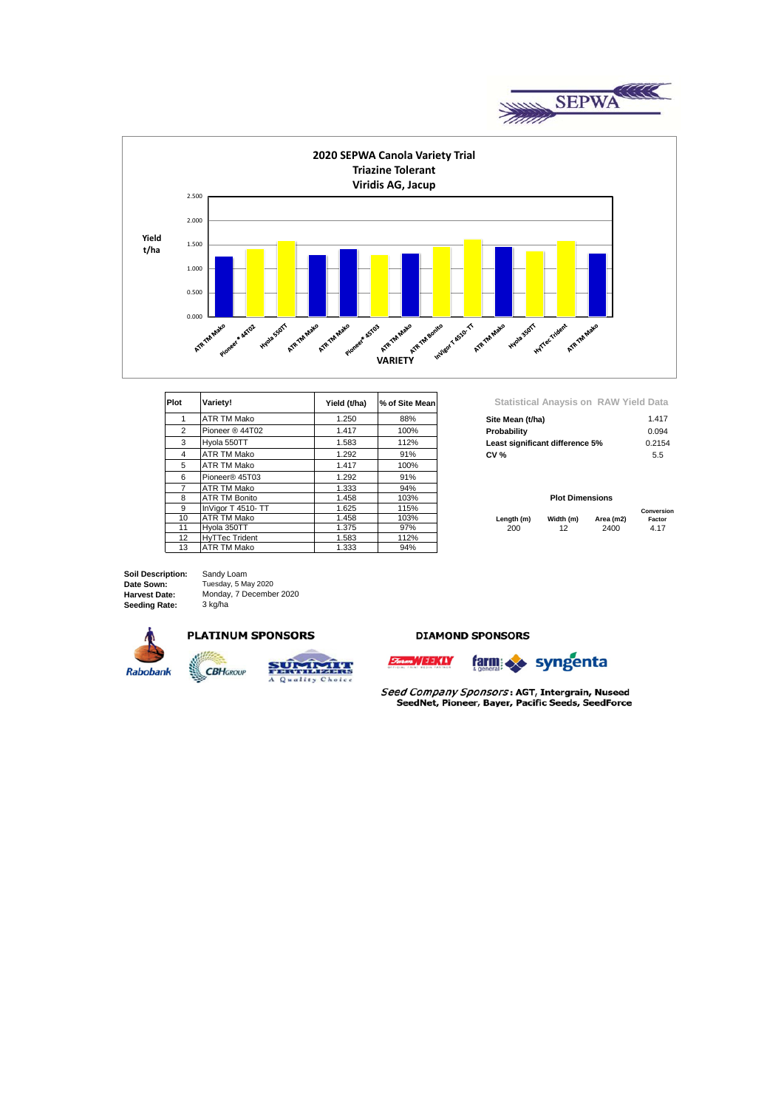



| <b>Plot</b>     | Variety!              | Yield (t/ha) | % of Site Mean |             |                                 | Statistical Anaysis on RAW Yield Data |           |               |
|-----------------|-----------------------|--------------|----------------|-------------|---------------------------------|---------------------------------------|-----------|---------------|
|                 | ATR TM Mako           | 1.250        | 88%            |             | Site Mean (t/ha)                |                                       |           | 1.417         |
| 2               | Pioneer ® 44T02       | 1.417        | 100%           | Probability |                                 |                                       |           | 0.094         |
| 3               | Hvola 550TT           | 1.583        | 112%           |             | Least significant difference 5% |                                       |           | 0.2154        |
| 4               | <b>ATR TM Mako</b>    | 1.292        | 91%            |             | <b>CV %</b>                     |                                       |           | $5.5^{\circ}$ |
| 5               | <b>ATR TM Mako</b>    | 1.417        | 100%           |             |                                 |                                       |           |               |
| 6               | Pioneer® 45T03        | 1.292        | 91%            |             |                                 |                                       |           |               |
|                 | ATR TM Mako           | 1.333        | 94%            |             |                                 |                                       |           |               |
| 8               | <b>ATR TM Bonito</b>  | 1.458        | 103%           |             |                                 | <b>Plot Dimensions</b>                |           |               |
| 9               | InVigor T 4510- TT    | 1.625        | 115%           |             |                                 |                                       |           | Conversio     |
| 10 <sup>1</sup> | ATR TM Mako           | 1.458        | 103%           |             | Length (m)                      | Width (m)                             | Area (m2) | Factor        |
| 11              | Hvola 350TT           | 1.375        | 97%            |             | 200                             | 12                                    | 2400      | 4.17          |
| 12              | <b>HvTTec Trident</b> | 1.583        | 112%           |             |                                 |                                       |           |               |
| 13              | <b>ATR TM Mako</b>    | 1.333        | 94%            |             |                                 |                                       |           |               |

| Site Mean (t/ha)                | 1.417  |
|---------------------------------|--------|
| Probability                     | 0.094  |
| Least significant difference 5% | 0.2154 |
| CV %                            | 5.5    |

### **Plot Dimensions**

|            |           |           | Conversion |
|------------|-----------|-----------|------------|
| Length (m) | Width (m) | Area (m2) | Factor     |
| 200        | 12        | 2400      | 4.17       |

**Date Sown: Harvest Date: Seeding Rate: Soil Description:**  Sandy Loam Tuesday, 5 May 2020 Monday, 7 December 2020 3 kg/ha



### **PLATINUM SPONSORS**

**CBHGROUP** 



### **DIAMOND SPONSORS**



Seed Company Sponsors: AGT, Intergrain, Nuseed SeedNet, Pioneer, Bayer, Pacific Seeds, SeedForce